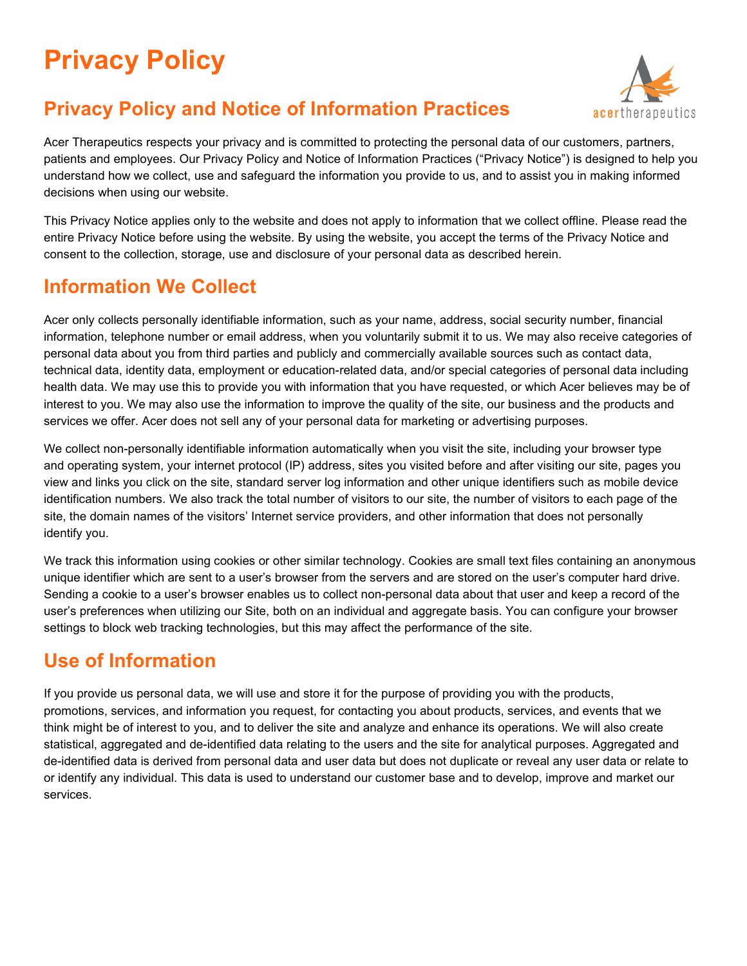# **Privacy Policy**

# **Privacy Policy and Notice of Information Practices**



Acer Therapeutics respects your privacy and is committed to protecting the personal data of our customers, partners, patients and employees. Our Privacy Policy and Notice of Information Practices ("Privacy Notice") is designed to help you understand how we collect, use and safeguard the information you provide to us, and to assist you in making informed decisions when using our website.

This Privacy Notice applies only to the website and does not apply to information that we collect offline. Please read the entire Privacy Notice before using the website. By using the website, you accept the terms of the Privacy Notice and consent to the collection, storage, use and disclosure of your personal data as described herein.

## **Information We Collect**

Acer only collects personally identifiable information, such as your name, address, social security number, financial information, telephone number or email address, when you voluntarily submit it to us. We may also receive categories of personal data about you from third parties and publicly and commercially available sources such as contact data, technical data, identity data, employment or education-related data, and/or special categories of personal data including health data. We may use this to provide you with information that you have requested, or which Acer believes may be of interest to you. We may also use the information to improve the quality of the site, our business and the products and services we offer. Acer does not sell any of your personal data for marketing or advertising purposes.

We collect non-personally identifiable information automatically when you visit the site, including your browser type and operating system, your internet protocol (IP) address, sites you visited before and after visiting our site, pages you view and links you click on the site, standard server log information and other unique identifiers such as mobile device identification numbers. We also track the total number of visitors to our site, the number of visitors to each page of the site, the domain names of the visitors' Internet service providers, and other information that does not personally identify you.

We track this information using cookies or other similar technology. Cookies are small text files containing an anonymous unique identifier which are sent to a user's browser from the servers and are stored on the user's computer hard drive. Sending a cookie to a user's browser enables us to collect non-personal data about that user and keep a record of the user's preferences when utilizing our Site, both on an individual and aggregate basis. You can configure your browser settings to block web tracking technologies, but this may affect the performance of the site.

## **Use of Information**

If you provide us personal data, we will use and store it for the purpose of providing you with the products, promotions, services, and information you request, for contacting you about products, services, and events that we think might be of interest to you, and to deliver the site and analyze and enhance its operations. We will also create statistical, aggregated and de-identified data relating to the users and the site for analytical purposes. Aggregated and de-identified data is derived from personal data and user data but does not duplicate or reveal any user data or relate to or identify any individual. This data is used to understand our customer base and to develop, improve and market our services.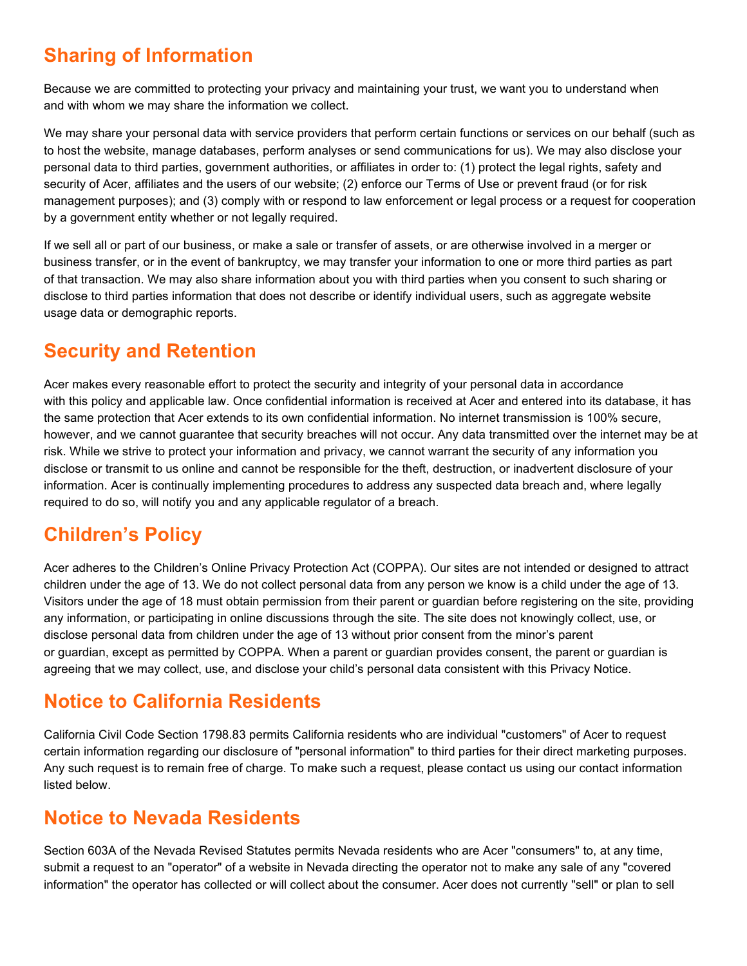## **Sharing of Information**

Because we are committed to protecting your privacy and maintaining your trust, we want you to understand when and with whom we may share the information we collect.

We may share your personal data with service providers that perform certain functions or services on our behalf (such as to host the website, manage databases, perform analyses or send communications for us). We may also disclose your personal data to third parties, government authorities, or affiliates in order to: (1) protect the legal rights, safety and security of Acer, affiliates and the users of our website; (2) enforce our Terms of Use or prevent fraud (or for risk management purposes); and (3) comply with or respond to law enforcement or legal process or a request for cooperation by a government entity whether or not legally required.

If we sell all or part of our business, or make a sale or transfer of assets, or are otherwise involved in a merger or business transfer, or in the event of bankruptcy, we may transfer your information to one or more third parties as part of that transaction. We may also share information about you with third parties when you consent to such sharing or disclose to third parties information that does not describe or identify individual users, such as aggregate website usage data or demographic reports.

#### **Security and Retention**

Acer makes every reasonable effort to protect the security and integrity of your personal data in accordance with this policy and applicable law. Once confidential information is received at Acer and entered into its database, it has the same protection that Acer extends to its own confidential information. No internet transmission is 100% secure, however, and we cannot guarantee that security breaches will not occur. Any data transmitted over the internet may be at risk. While we strive to protect your information and privacy, we cannot warrant the security of any information you disclose or transmit to us online and cannot be responsible for the theft, destruction, or inadvertent disclosure of your information. Acer is continually implementing procedures to address any suspected data breach and, where legally required to do so, will notify you and any applicable regulator of a breach.

## **Children's Policy**

Acer adheres to the Children's Online Privacy Protection Act (COPPA). Our sites are not intended or designed to attract children under the age of 13. We do not collect personal data from any person we know is a child under the age of 13. Visitors under the age of 18 must obtain permission from their parent or guardian before registering on the site, providing any information, or participating in online discussions through the site. The site does not knowingly collect, use, or disclose personal data from children under the age of 13 without prior consent from the minor's parent or guardian, except as permitted by COPPA. When a parent or guardian provides consent, the parent or guardian is agreeing that we may collect, use, and disclose your child's personal data consistent with this Privacy Notice.

#### **Notice to California Residents**

California Civil Code Section 1798.83 permits California residents who are individual "customers" of Acer to request certain information regarding our disclosure of "personal information" to third parties for their direct marketing purposes. Any such request is to remain free of charge. To make such a request, please contact us using our contact information listed below.

#### **Notice to Nevada Residents**

Section 603A of the Nevada Revised Statutes permits Nevada residents who are Acer "consumers" to, at any time, submit a request to an "operator" of a website in Nevada directing the operator not to make any sale of any "covered information" the operator has collected or will collect about the consumer. Acer does not currently "sell" or plan to sell